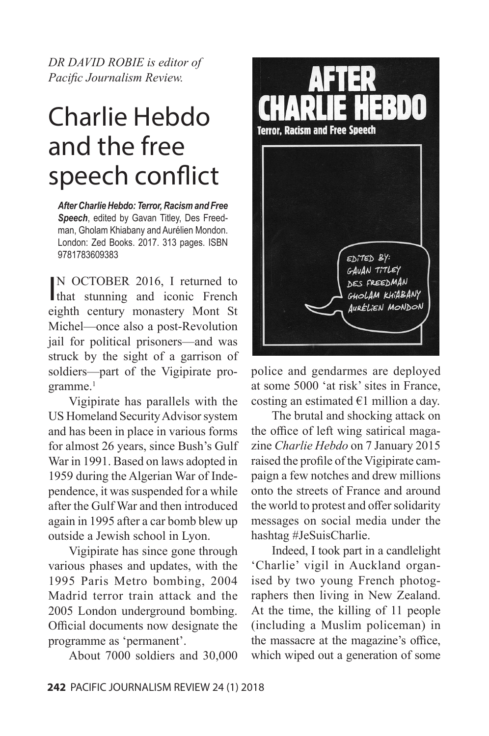*DR DAVID ROBIE is editor of Pacific Journalism Review.*

# Charlie Hebdo and the free speech conflict

*After Charlie Hebdo: Terror, Racism and Free Speech*, edited by Gavan Titley, Des Freedman, Gholam Khiabany and Aurélien Mondon. London: Zed Books. 2017. 313 pages. ISBN 9781783609383

IN OCTOBER 2016, I returned to<br>that stunning and iconic French N OCTOBER 2016, I returned to eighth century monastery Mont St Michel—once also a post-Revolution jail for political prisoners—and was struck by the sight of a garrison of soldiers—part of the Vigipirate programme.<sup>1</sup>

Vigipirate has parallels with the US Homeland Security Advisor system and has been in place in various forms for almost 26 years, since Bush's Gulf War in 1991. Based on laws adopted in 1959 during the Algerian War of Independence, it was suspended for a while after the Gulf War and then introduced again in 1995 after a car bomb blew up outside a Jewish school in Lyon.

Vigipirate has since gone through various phases and updates, with the 1995 Paris Metro bombing, 2004 Madrid terror train attack and the 2005 London underground bombing. Official documents now designate the programme as 'permanent'.

About 7000 soldiers and 30,000



police and gendarmes are deployed at some 5000 'at risk' sites in France, costing an estimated  $\epsilon$ 1 million a day.

The brutal and shocking attack on the office of left wing satirical magazine *Charlie Hebdo* on 7 January 2015 raised the profile of the Vigipirate campaign a few notches and drew millions onto the streets of France and around the world to protest and offer solidarity messages on social media under the hashtag #JeSuisCharlie.

Indeed, I took part in a candlelight 'Charlie' vigil in Auckland organised by two young French photographers then living in New Zealand. At the time, the killing of 11 people (including a Muslim policeman) in the massacre at the magazine's office, which wiped out a generation of some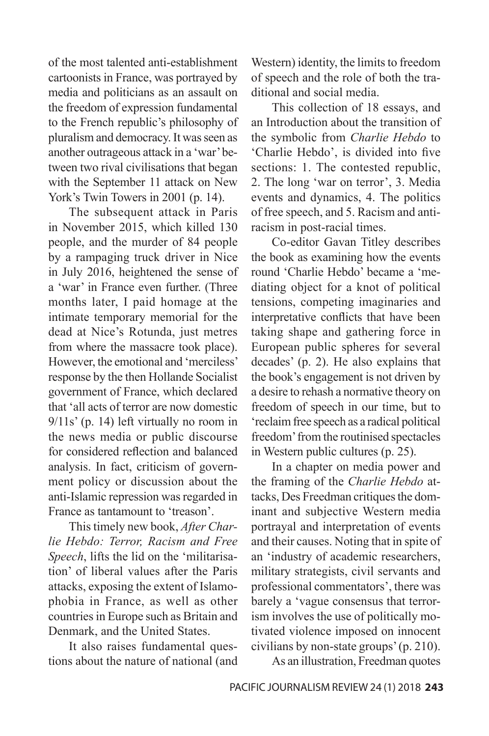of the most talented anti-establishment cartoonists in France, was portrayed by media and politicians as an assault on the freedom of expression fundamental to the French republic's philosophy of pluralism and democracy. It was seen as another outrageous attack in a 'war' between two rival civilisations that began with the September 11 attack on New York's Twin Towers in 2001 (p. 14).

The subsequent attack in Paris in November 2015, which killed 130 people, and the murder of 84 people by a rampaging truck driver in Nice in July 2016, heightened the sense of a 'war' in France even further. (Three months later, I paid homage at the intimate temporary memorial for the dead at Nice's Rotunda, just metres from where the massacre took place). However, the emotional and 'merciless' response by the then Hollande Socialist government of France, which declared that 'all acts of terror are now domestic 9/11s' (p. 14) left virtually no room in the news media or public discourse for considered reflection and balanced analysis. In fact, criticism of government policy or discussion about the anti-Islamic repression was regarded in France as tantamount to 'treason'.

This timely new book, *After Charlie Hebdo: Terror, Racism and Free Speech*, lifts the lid on the 'militarisation' of liberal values after the Paris attacks, exposing the extent of Islamophobia in France, as well as other countries in Europe such as Britain and Denmark, and the United States.

It also raises fundamental questions about the nature of national (and

Western) identity, the limits to freedom of speech and the role of both the traditional and social media.

This collection of 18 essays, and an Introduction about the transition of the symbolic from *Charlie Hebdo* to 'Charlie Hebdo', is divided into five sections: 1. The contested republic, 2. The long 'war on terror', 3. Media events and dynamics, 4. The politics of free speech, and 5. Racism and antiracism in post-racial times.

Co-editor Gavan Titley describes the book as examining how the events round 'Charlie Hebdo' became a 'mediating object for a knot of political tensions, competing imaginaries and interpretative conflicts that have been taking shape and gathering force in European public spheres for several decades' (p. 2). He also explains that the book's engagement is not driven by a desire to rehash a normative theory on freedom of speech in our time, but to 'reclaim free speech as a radical political freedom' from the routinised spectacles in Western public cultures (p. 25).

In a chapter on media power and the framing of the *Charlie Hebdo* attacks, Des Freedman critiques the dominant and subjective Western media portrayal and interpretation of events and their causes. Noting that in spite of an 'industry of academic researchers, military strategists, civil servants and professional commentators', there was barely a 'vague consensus that terrorism involves the use of politically motivated violence imposed on innocent civilians by non-state groups' (p. 210).

As an illustration, Freedman quotes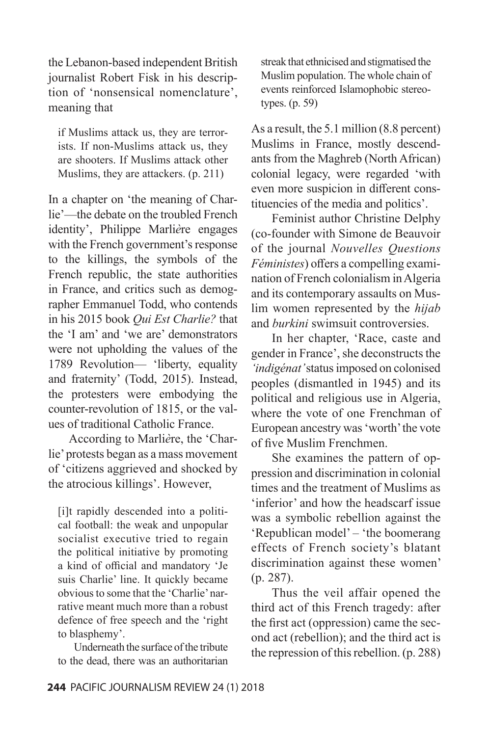the Lebanon-based independent British journalist Robert Fisk in his description of 'nonsensical nomenclature', meaning that

if Muslims attack us, they are terrorists. If non-Muslims attack us, they are shooters. If Muslims attack other Muslims, they are attackers. (p. 211)

In a chapter on 'the meaning of Charlie'—the debate on the troubled French identity', Philippe Marli*è*re engages with the French government's response to the killings, the symbols of the French republic, the state authorities in France, and critics such as demographer Emmanuel Todd, who contends in his 2015 book *Qui Est Charlie?* that the 'I am' and 'we are' demonstrators were not upholding the values of the 1789 Revolution— 'liberty, equality and fraternity' (Todd, 2015). Instead, the protesters were embodying the counter-revolution of 1815, or the values of traditional Catholic France.

According to Marli*è*re, the 'Charlie' protests began as a mass movement of 'citizens aggrieved and shocked by the atrocious killings'. However,

[i]t rapidly descended into a political football: the weak and unpopular socialist executive tried to regain the political initiative by promoting a kind of official and mandatory 'Je suis Charlie' line. It quickly became obvious to some that the 'Charlie' narrative meant much more than a robust defence of free speech and the 'right to blasphemy'.

Underneath the surface of the tribute to the dead, there was an authoritarian streak that ethnicised and stigmatised the Muslim population. The whole chain of events reinforced Islamophobic stereotypes. (p. 59)

As a result, the 5.1 million (8.8 percent) Muslims in France, mostly descendants from the Maghreb (North African) colonial legacy, were regarded 'with even more suspicion in different constituencies of the media and politics'.

Feminist author Christine Delphy (co-founder with Simone de Beauvoir of the journal *Nouvelles Questions Féministes*) offers a compelling examination of French colonialism in Algeria and its contemporary assaults on Muslim women represented by the *hijab* and *burkini* swimsuit controversies.

In her chapter, 'Race, caste and gender in France', she deconstructs the *'indigénat'* status imposed on colonised peoples (dismantled in 1945) and its political and religious use in Algeria, where the vote of one Frenchman of European ancestry was 'worth' the vote of five Muslim Frenchmen.

She examines the pattern of oppression and discrimination in colonial times and the treatment of Muslims as 'inferior' and how the headscarf issue was a symbolic rebellion against the 'Republican model' – 'the boomerang effects of French society's blatant discrimination against these women' (p. 287).

Thus the veil affair opened the third act of this French tragedy: after the first act (oppression) came the second act (rebellion); and the third act is the repression of this rebellion. (p. 288)